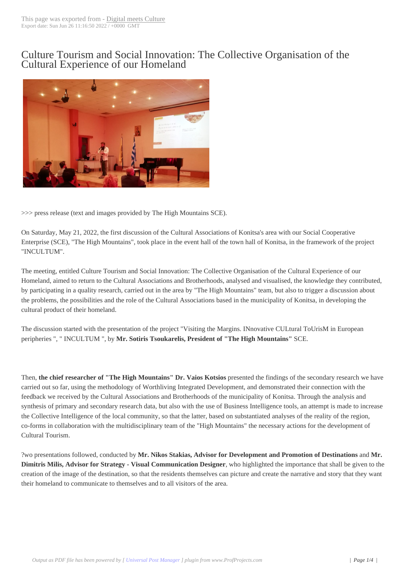Culture Tourism a[nd Social Innov](https://www.digitalmeetsculture.net?p=59776&preview_id=59776)ation: The Collective Organisation of the Cultural Experience of our Homeland



>>> press release (text and images provided by The High Mountains SCE).

On Saturday, May 21, 2022, the first discussion of the Cultural Associations of Konitsa's area with our Social Cooperative Enterprise (SCE), "The High Mountains", took place in the event hall of the town hall of Konitsa, in the framework of the project "INCULTUM".

The meeting, entitled Culture Tourism and Social Innovation: The Collective Organisation of the Cultural Experience of our Homeland, aimed to return to the Cultural Associations and Brotherhoods, analysed and visualised, the knowledge they contributed, by participating in a quality research, carried out in the area by "The High Mountains" team, but also to trigger a discussion about the problems, the possibilities and the role of the Cultural Associations based in the municipality of Konitsa, in developing the cultural product of their homeland.

The discussion started with the presentation of the project "Visiting the Margins. INnovative CULtural ToUrisM in European peripheries ", " INCULTUM ", by **Mr. Sotiris Tsoukarelis, President of "The High Mountains"** SCE.

Then, **the chief researcher of "The High Mountains" Dr. Vaios Kotsios** presented the findings of the secondary research we have carried out so far, using the methodology of Worthliving Integrated Development, and demonstrated their connection with the feedback we received by the Cultural Associations and Brotherhoods of the municipality of Konitsa. Through the analysis and synthesis of primary and secondary research data, but also with the use of Business Intelligence tools, an attempt is made to increase the Collective Intelligence of the local community, so that the latter, based on substantiated analyses of the reality of the region, co-forms in collaboration with the multidisciplinary team of the "High Mountains" the necessary actions for the development of Cultural Tourism.

?wo presentations followed, conducted by **Mr. Nikos Stakias, Advisor for Development and Promotion of Destinations** and **Mr. Dimitris Milis, Advisor for Strategy - Visual Communication Designer**, who highlighted the importance that shall be given to the creation of the image of the destination, so that the residents themselves can picture and create the narrative and story that they want their homeland to communicate to themselves and to all visitors of the area.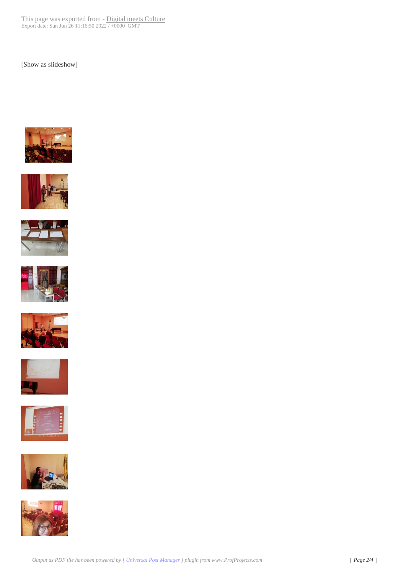















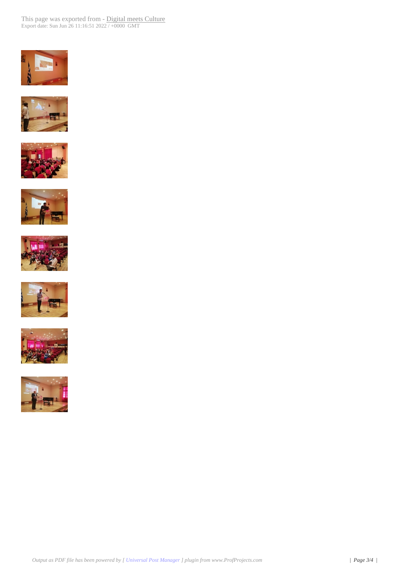